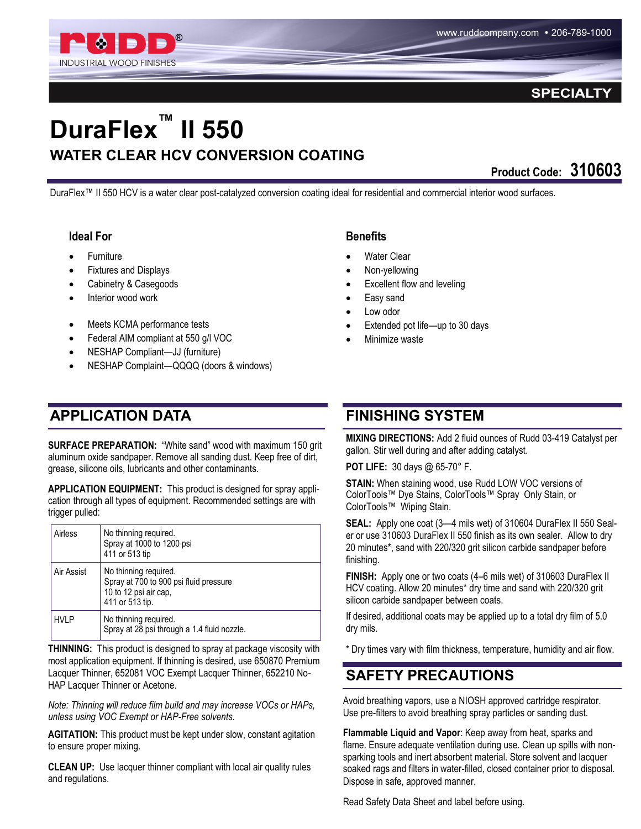

#### **SPECIALT**

# **DuraFlex™ II 550 WATER CLEAR HCV CONVERSION COATING**

**Product Code: 310603**

DuraFlex™ II 550 HCV is a water clear post-catalyzed conversion coating ideal for residential and commercial interior wood surfaces.

#### **Ideal For**

- **Furniture**
- Fixtures and Displays
- Cabinetry & Casegoods
- Interior wood work
- Meets KCMA performance tests
- Federal AIM compliant at 550 g/l VOC
- NESHAP Compliant—JJ (furniture)
- NESHAP Complaint—QQQQ (doors & windows)

#### **APPLICATION DATA FINISHING SYSTEM**

**SURFACE PREPARATION:** "White sand" wood with maximum 150 grit aluminum oxide sandpaper. Remove all sanding dust. Keep free of dirt, grease, silicone oils, lubricants and other contaminants.

**APPLICATION EQUIPMENT:** This product is designed for spray application through all types of equipment. Recommended settings are with trigger pulled:

| Airless     | No thinning required.<br>Spray at 1000 to 1200 psi<br>411 or 513 tip                                        |
|-------------|-------------------------------------------------------------------------------------------------------------|
| Air Assist  | No thinning required.<br>Spray at 700 to 900 psi fluid pressure<br>10 to 12 psi air cap,<br>411 or 513 tip. |
| <b>HVLP</b> | No thinning required.<br>Spray at 28 psi through a 1.4 fluid nozzle.                                        |

**THINNING:** This product is designed to spray at package viscosity with most application equipment. If thinning is desired, use 650870 Premium Lacquer Thinner, 652081 VOC Exempt Lacquer Thinner, 652210 No-HAP Lacquer Thinner or Acetone.

*Note: Thinning will reduce film build and may increase VOCs or HAPs, unless using VOC Exempt or HAP-Free solvents.*

**AGITATION:** This product must be kept under slow, constant agitation to ensure proper mixing.

**CLEAN UP:** Use lacquer thinner compliant with local air quality rules and regulations.

#### **Benefits**

- Water Clear
- Non-yellowing
- Excellent flow and leveling
- Easy sand
- Low odor
- Extended pot life—up to 30 days
- Minimize waste

**MIXING DIRECTIONS:** Add 2 fluid ounces of Rudd 03-419 Catalyst per gallon. Stir well during and after adding catalyst.

**POT LIFE:** 30 days @ 65-70° F.

**STAIN:** When staining wood, use Rudd LOW VOC versions of ColorTools™ Dye Stains, ColorTools™ Spray Only Stain, or ColorTools™ Wiping Stain.

**SEAL:** Apply one coat (3—4 mils wet) of 310604 DuraFlex II 550 Sealer or use 310603 DuraFlex II 550 finish as its own sealer. Allow to dry 20 minutes\*, sand with 220/320 grit silicon carbide sandpaper before finishing.

**FINISH:** Apply one or two coats (4–6 mils wet) of 310603 DuraFlex II HCV coating. Allow 20 minutes\* dry time and sand with 220/320 grit silicon carbide sandpaper between coats.

If desired, additional coats may be applied up to a total dry film of 5.0 dry mils.

\* Dry times vary with film thickness, temperature, humidity and air flow.

# **SAFETY PRECAUTIONS**

Avoid breathing vapors, use a NIOSH approved cartridge respirator. Use pre-filters to avoid breathing spray particles or sanding dust.

**Flammable Liquid and Vapor**: Keep away from heat, sparks and flame. Ensure adequate ventilation during use. Clean up spills with nonsparking tools and inert absorbent material. Store solvent and lacquer soaked rags and filters in water-filled, closed container prior to disposal. Dispose in safe, approved manner.

Read Safety Data Sheet and label before using.